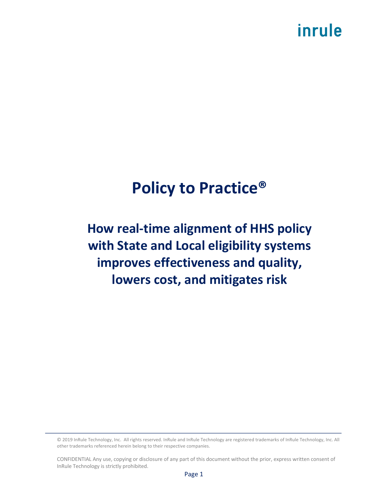# inrule

# **Policy to Practice®**

## **How real-time alignment of HHS policy with State and Local eligibility systems improves effectiveness and quality, lowers cost, and mitigates risk**

© 2019 InRule Technology, Inc. All rights reserved. InRule and InRule Technology are registered trademarks of InRule Technology, Inc. All other trademarks referenced herein belong to their respective companies.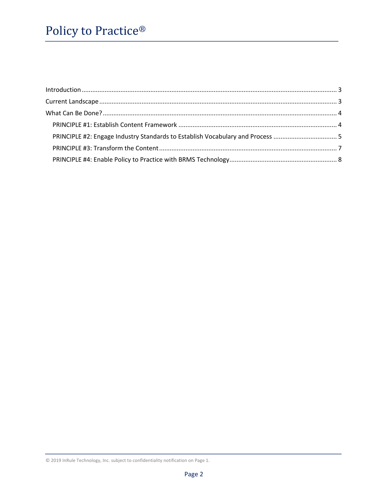| $\label{eq:1} \mbox{Introduction} \,\, \ldots \,\, \ldots \,\, \ldots \,\, \ldots \,\, \ldots \,\, \ldots \,\, \ldots \,\, \ldots \,\, \ldots \,\, \ldots \,\, \ldots \,\, \ldots \,\, \ldots \,\, \ldots \,\, \ldots \,\, \ldots \,\, \ldots \,\, \ldots \,\, \ldots \,\, \ldots \,\, \ldots \,\, \ldots \,\, \ldots \,\, \ldots \,\, \ldots \,\, \ldots \,\, \ldots \,\, \ldots \,\, \ldots \,\, \ldots \,\, \ldots \,\, \ldots \,\, \ldots \,\, \ldots \,\,$ |  |
|-----------------------------------------------------------------------------------------------------------------------------------------------------------------------------------------------------------------------------------------------------------------------------------------------------------------------------------------------------------------------------------------------------------------------------------------------------------------|--|
|                                                                                                                                                                                                                                                                                                                                                                                                                                                                 |  |
|                                                                                                                                                                                                                                                                                                                                                                                                                                                                 |  |
|                                                                                                                                                                                                                                                                                                                                                                                                                                                                 |  |
|                                                                                                                                                                                                                                                                                                                                                                                                                                                                 |  |
|                                                                                                                                                                                                                                                                                                                                                                                                                                                                 |  |
|                                                                                                                                                                                                                                                                                                                                                                                                                                                                 |  |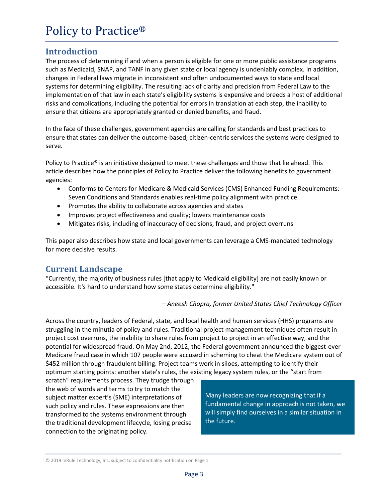#### **Introduction**

**T**he process of determining if and when a person is eligible for one or more public assistance programs such as Medicaid, SNAP, and TANF in any given state or local agency is undeniably complex. In addition, changes in Federal laws migrate in inconsistent and often undocumented ways to state and local systems for determining eligibility. The resulting lack of clarity and precision from Federal Law to the implementation of that law in each state's eligibility systems is expensive and breeds a host of additional risks and complications, including the potential for errors in translation at each step, the inability to ensure that citizens are appropriately granted or denied benefits, and fraud.

In the face of these challenges, government agencies are calling for standards and best practices to ensure that states can deliver the outcome-based, citizen-centric services the systems were designed to serve.

Policy to Practice® is an initiative designed to meet these challenges and those that lie ahead. This article describes how the principles of Policy to Practice deliver the following benefits to government agencies:

- Conforms to Centers for Medicare & Medicaid Services (CMS) Enhanced Funding Requirements: Seven Conditions and Standards enables real-time policy alignment with practice
- Promotes the ability to collaborate across agencies and states
- Improves project effectiveness and quality; lowers maintenance costs
- Mitigates risks, including of inaccuracy of decisions, fraud, and project overruns

This paper also describes how state and local governments can leverage a CMS-mandated technology for more decisive results.

#### **Current Landscape**

"Currently, the majority of business rules [that apply to Medicaid eligibility] are not easily known or accessible. It's hard to understand how some states determine eligibility."

*—Aneesh Chopra, former United States Chief Technology Officer*

Across the country, leaders of Federal, state, and local health and human services (HHS) programs are struggling in the minutia of policy and rules. Traditional project management techniques often result in project cost overruns, the inability to share rules from project to project in an effective way, and the potential for widespread fraud. On May 2nd, 2012, the Federal government announced the biggest-ever Medicare fraud case in which 107 people were accused in scheming to cheat the Medicare system out of \$452 million through fraudulent billing. Project teams work in siloes, attempting to identify their optimum starting points: another state's rules, the existing legacy system rules, or the "start from

scratch" requirements process. They trudge through the web of words and terms to try to match the subject matter expert's (SME) interpretations of such policy and rules. These expressions are then transformed to the systems environment through the traditional development lifecycle, losing precise connection to the originating policy.

Many leaders are now recognizing that if a fundamental change in approach is not taken, we will simply find ourselves in a similar situation in the future.

<sup>© 2019</sup> InRule Technology, Inc. subject to confidentiality notification on Page 1.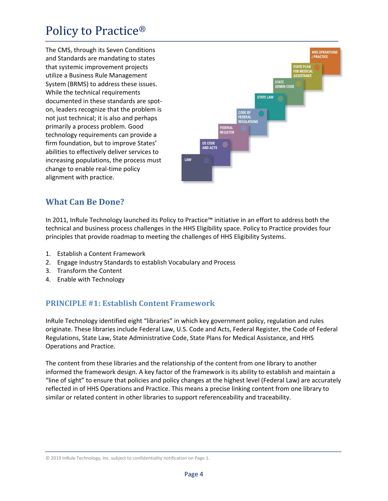The CMS, through its Seven Conditions and Standards are mandating to states that systemic improvement projects utilize a Business Rule Management System (BRMS) to address these issues. While the technical requirements documented in these standards are spoton, leaders recognize that the problem is not just technical; it is also and perhaps primarily a process problem. Good technology requirements can provide a firm foundation, but to improve States' abilities to effectively deliver services to increasing populations, the process must change to enable real-time policy alignment with practice.



#### **What Can Be Done?**

In 2011, InRule Technology launched its Policy to Practice™ initiative in an effort to address both the technical and business process challenges in the HHS Eligibility space. Policy to Practice provides four principles that provide roadmap to meeting the challenges of HHS Eligibility Systems.

- 1. Establish a Content Framework
- 2. Engage Industry Standards to establish Vocabulary and Process
- 3. Transform the Content
- 4. Enable with Technology

#### **PRINCIPLE #1: Establish Content Framework**

InRule Technology identified eight "libraries" in which key government policy, regulation and rules originate. These libraries include Federal Law, U.S. Code and Acts, Federal Register, the Code of Federal Regulations, State Law, State Administrative Code, State Plans for Medical Assistance, and HHS Operations and Practice.

The content from these libraries and the relationship of the content from one library to another informed the framework design. A key factor of the framework is its ability to establish and maintain a "line of sight" to ensure that policies and policy changes at the highest level (Federal Law) are accurately reflected in of HHS Operations and Practice. This means a precise linking content from one library to similar or related content in other libraries to support referenceability and traceability.

<sup>© 2019</sup> InRule Technology, Inc. subject to confidentiality notification on Page 1.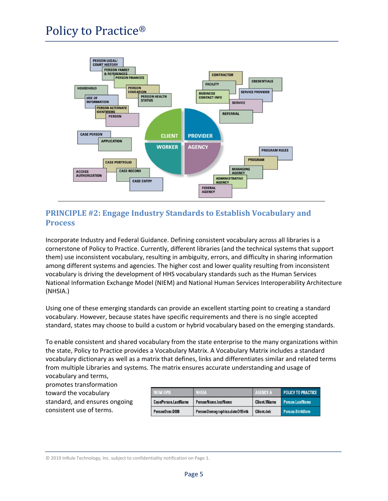

#### **PRINCIPLE #2: Engage Industry Standards to Establish Vocabulary and Process**

Incorporate Industry and Federal Guidance. Defining consistent vocabulary across all libraries is a cornerstone of Policy to Practice. Currently, different libraries (and the technical systems that support them) use inconsistent vocabulary, resulting in ambiguity, errors, and difficulty in sharing information among different systems and agencies. The higher cost and lower quality resulting from inconsistent vocabulary is driving the development of HHS vocabulary standards such as the Human Services National Information Exchange Model (NIEM) and National Human Services Interoperability Architecture (NHSIA.)

Using one of these emerging standards can provide an excellent starting point to creating a standard vocabulary. However, because states have specific requirements and there is no single accepted standard, states may choose to build a custom or hybrid vocabulary based on the emerging standards.

To enable consistent and shared vocabulary from the state enterprise to the many organizations within the state, Policy to Practice provides a Vocabulary Matrix. A Vocabulary Matrix includes a standard vocabulary dictionary as well as a matrix that defines, links and differentiates similar and related terms from multiple Libraries and systems. The matrix ensures accurate understanding and usage of vocabulary and terms,

promotes transformation toward the vocabulary standard, and ensures ongoing consistent use of terms.

| <b>NIEM IEPD</b>           | <b>NHSIA</b>                   | <b>AGENCY A</b>     | <b>POLICY TO PRACTICE</b> |
|----------------------------|--------------------------------|---------------------|---------------------------|
| <b>CasePerson.LastName</b> | PersonName.lastName            | <b>Client.1Name</b> | <b>Person.LastName</b>    |
| PersonDem.DOB              | PersonDemographics.dateOfBirth | Client.dob          | <b>Person.BirthDate</b>   |

© 2019 InRule Technology, Inc. subject to confidentiality notification on Page 1.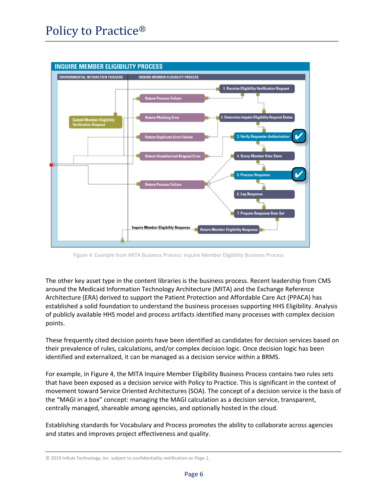

Figure 4: Example from MITA Business Process: Inquire Member Eligibility Business Process

The other key asset type in the content libraries is the business process. Recent leadership from CMS around the Medicaid Information Technology Architecture (MITA) and the Exchange Reference Architecture (ERA) derived to support the Patient Protection and Affordable Care Act (PPACA) has established a solid foundation to understand the business processes supporting HHS Eligibility. Analysis of publicly available HHS model and process artifacts identified many processes with complex decision points.

These frequently cited decision points have been identified as candidates for decision services based on their prevalence of rules, calculations, and/or complex decision logic. Once decision logic has been identified and externalized, it can be managed as a decision service within a BRMS.

For example, in Figure 4, the MITA Inquire Member Eligibility Business Process contains two rules sets that have been exposed as a decision service with Policy to Practice. This is significant in the context of movement toward Service Oriented Architectures (SOA). The concept of a decision service is the basis of the "MAGI in a box" concept: managing the MAGI calculation as a decision service, transparent, centrally managed, shareable among agencies, and optionally hosted in the cloud.

Establishing standards for Vocabulary and Process promotes the ability to collaborate across agencies and states and improves project effectiveness and quality.

<sup>© 2019</sup> InRule Technology, Inc. subject to confidentiality notification on Page 1.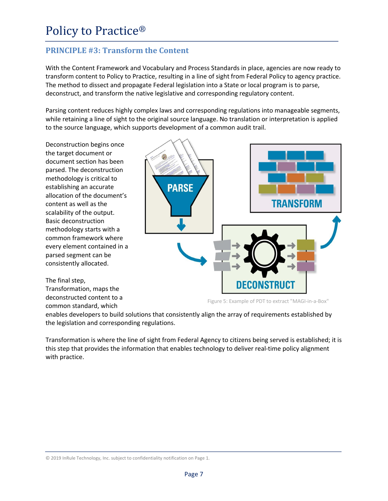#### **PRINCIPLE** #3: **Transform** the Content

With the Content Framework and Vocabulary and Process Standards in place, agencies are now ready to transform content to Policy to Practice, resulting in a line of sight from Federal Policy to agency practice. The method to dissect and propagate Federal legislation into a State or local program is to parse, deconstruct, and transform the native legislative and corresponding regulatory content.

Parsing content reduces highly complex laws and corresponding regulations into manageable segments, while retaining a line of sight to the original source language. No translation or interpretation is applied to the source language, which supports development of a common audit trail.

Deconstruction begins once the target document or document section has been parsed. The deconstruction methodology is critical to establishing an accurate allocation of the document's content as well as the scalability of the output. Basic deconstruction methodology starts with a common framework where every element contained in a parsed segment can be consistently allocated.

The final step, Transformation, maps the deconstructed content to a common standard, which



Figure 5: Example of PDT to extract "MAGI-in-a-Box"

enables developers to build solutions that consistently align the array of requirements established by the legislation and corresponding regulations.

Transformation is where the line of sight from Federal Agency to citizens being served is established; it is this step that provides the information that enables technology to deliver real-time policy alignment with practice.

© 2019 InRule Technology, Inc. subject to confidentiality notification on Page 1.